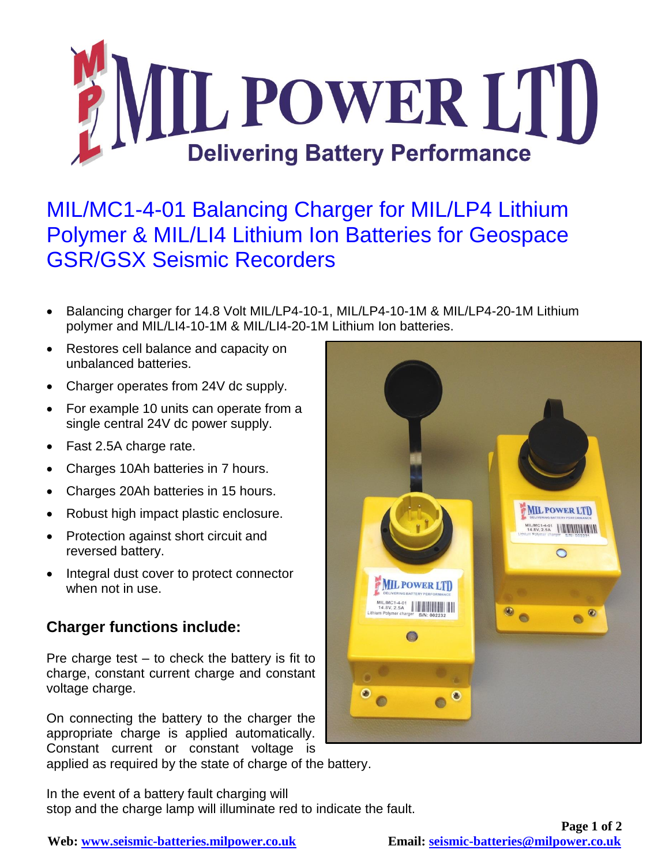

## MIL/MC1-4-01 Balancing Charger for MIL/LP4 Lithium Polymer & MIL/LI4 Lithium Ion Batteries for Geospace GSR/GSX Seismic Recorders

- Balancing charger for 14.8 Volt MIL/LP4-10-1, MIL/LP4-10-1M & MIL/LP4-20-1M Lithium polymer and MIL/LI4-10-1M & MIL/LI4-20-1M Lithium Ion batteries.
- Restores cell balance and capacity on unbalanced batteries.
- Charger operates from 24V dc supply.
- For example 10 units can operate from a single central 24V dc power supply.
- Fast 2.5A charge rate.
- Charges 10Ah batteries in 7 hours.
- Charges 20Ah batteries in 15 hours.
- Robust high impact plastic enclosure.
- Protection against short circuit and reversed battery.
- Integral dust cover to protect connector when not in use.

## **Charger functions include:**

Pre charge test  $-$  to check the battery is fit to charge, constant current charge and constant voltage charge.

On connecting the battery to the charger the appropriate charge is applied automatically. Constant current or constant voltage is applied as required by the state of charge of the battery.

In the event of a battery fault charging will stop and the charge lamp will illuminate red to indicate the fault.



**Web: [www.seismic-batteries.milpower.co.uk](http://www.seismic-batteries.milpower.co.uk/) Email: [seismic-batteries@milpower.co.uk](mailto:seismic-batteries@milpower.co.uk)**